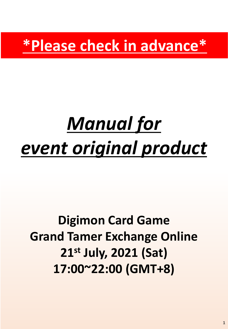**\*Please check in advance\***

# *Manual for event original product*

## **Digimon Card Game Grand Tamer Exchange Online 21st July, 2021 (Sat) 17:00~22:00 (GMT+8)**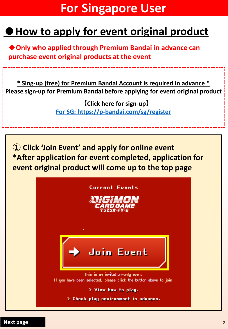## **For Singapore User**

## **●How to apply for event original product**

◆**Only who applied through Premium Bandai in advance can purchase event original products at the event**

**\* Sing-up (free) for Premium Bandai Account is required in advance \* Please sign-up for Premium Bandai before applying for event original product**

> **【Click here for sign-up】 [For SG: https://p-bandai.com/sg/register](https://p-bandai.com/sg/register)**

**① Click 'Join Event' and apply for online event \*After application for event completed, application for event original product will come up to the top page**

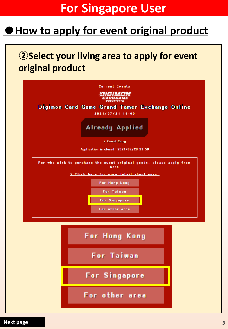## **For Singapore User**

#### **How to apply for event original product**

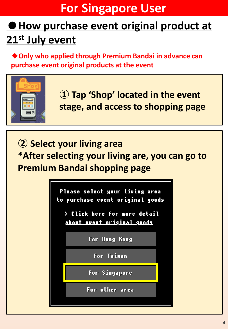## **For Singapore User**

## **●How purchase event original product at 21st July event**

**◆Only who applied through Premium Bandai in advance can purchase event original products at the event**



**① Tap 'Shop' located in the event stage, and access to shopping page**

**② Select your living area \*After selecting your living are, you can go to Premium Bandai shopping page**

> Please select your living area to purchase event original goods

> Click here for more detail about event original goods

For Hong Kong

For Taiman

For Singapore

For other area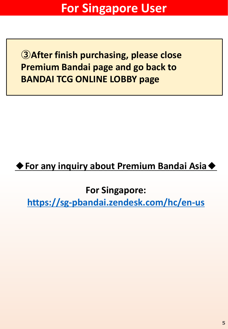**③After finish purchasing, please close Premium Bandai page and go back to BANDAI TCG ONLINE LOBBY page**

#### **◆For any inquiry about Premium Bandai Asia◆**

**For Singapore:** 

**<https://sg-pbandai.zendesk.com/hc/en-us>**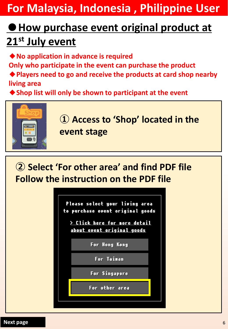**For Malaysia, Indonesia , Philippine User**

## **●How purchase event original product at 21st July event**

**◆No application in advance is required**

**Only who participate in the event can purchase the product**

**◆Players need to go and receive the products at card shop nearby living area**

◆**Shop list will only be shown to participant at the event** 



**② Select 'For other area' and find PDF file Follow the instruction on the PDF file**

> Please select your living area to purchase event original goods

> Click here for more detail about event original goods

For Hong Kong

**For Taiman** 

For Singapore

For other area